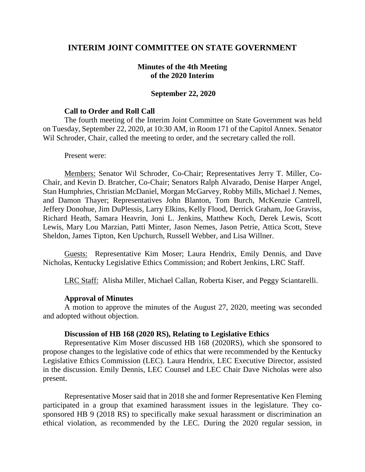# **INTERIM JOINT COMMITTEE ON STATE GOVERNMENT**

## **Minutes of the 4th Meeting of the 2020 Interim**

### **September 22, 2020**

#### **Call to Order and Roll Call**

The fourth meeting of the Interim Joint Committee on State Government was held on Tuesday, September 22, 2020, at 10:30 AM, in Room 171 of the Capitol Annex. Senator Wil Schroder, Chair, called the meeting to order, and the secretary called the roll.

Present were:

Members: Senator Wil Schroder, Co-Chair; Representatives Jerry T. Miller, Co-Chair, and Kevin D. Bratcher, Co-Chair; Senators Ralph Alvarado, Denise Harper Angel, Stan Humphries, Christian McDaniel, Morgan McGarvey, Robby Mills, Michael J. Nemes, and Damon Thayer; Representatives John Blanton, Tom Burch, McKenzie Cantrell, Jeffery Donohue, Jim DuPlessis, Larry Elkins, Kelly Flood, Derrick Graham, Joe Graviss, Richard Heath, Samara Heavrin, Joni L. Jenkins, Matthew Koch, Derek Lewis, Scott Lewis, Mary Lou Marzian, Patti Minter, Jason Nemes, Jason Petrie, Attica Scott, Steve Sheldon, James Tipton, Ken Upchurch, Russell Webber, and Lisa Willner.

Guests: Representative Kim Moser; Laura Hendrix, Emily Dennis, and Dave Nicholas, Kentucky Legislative Ethics Commission; and Robert Jenkins, LRC Staff.

LRC Staff: Alisha Miller, Michael Callan, Roberta Kiser, and Peggy Sciantarelli.

#### **Approval of Minutes**

A motion to approve the minutes of the August 27, 2020, meeting was seconded and adopted without objection.

### **Discussion of HB 168 (2020 RS), Relating to Legislative Ethics**

Representative Kim Moser discussed HB 168 (2020RS), which she sponsored to propose changes to the legislative code of ethics that were recommended by the Kentucky Legislative Ethics Commission (LEC). Laura Hendrix, LEC Executive Director, assisted in the discussion. Emily Dennis, LEC Counsel and LEC Chair Dave Nicholas were also present.

Representative Moser said that in 2018 she and former Representative Ken Fleming participated in a group that examined harassment issues in the legislature. They cosponsored HB 9 (2018 RS) to specifically make sexual harassment or discrimination an ethical violation, as recommended by the LEC. During the 2020 regular session, in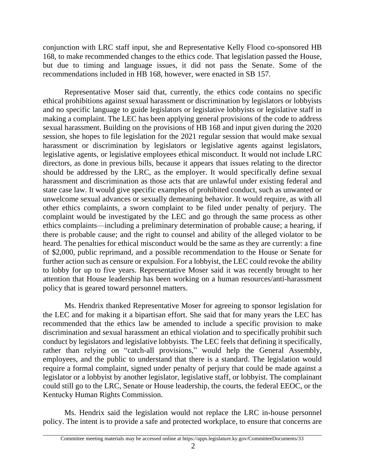conjunction with LRC staff input, she and Representative Kelly Flood co-sponsored HB 168, to make recommended changes to the ethics code. That legislation passed the House, but due to timing and language issues, it did not pass the Senate. Some of the recommendations included in HB 168, however, were enacted in SB 157.

Representative Moser said that, currently, the ethics code contains no specific ethical prohibitions against sexual harassment or discrimination by legislators or lobbyists and no specific language to guide legislators or legislative lobbyists or legislative staff in making a complaint. The LEC has been applying general provisions of the code to address sexual harassment. Building on the provisions of HB 168 and input given during the 2020 session, she hopes to file legislation for the 2021 regular session that would make sexual harassment or discrimination by legislators or legislative agents against legislators, legislative agents, or legislative employees ethical misconduct. It would not include LRC directors, as done in previous bills, because it appears that issues relating to the director should be addressed by the LRC, as the employer. It would specifically define sexual harassment and discrimination as those acts that are unlawful under existing federal and state case law. It would give specific examples of prohibited conduct, such as unwanted or unwelcome sexual advances or sexually demeaning behavior. It would require, as with all other ethics complaints, a sworn complaint to be filed under penalty of perjury. The complaint would be investigated by the LEC and go through the same process as other ethics complaints—including a preliminary determination of probable cause; a hearing, if there is probable cause; and the right to counsel and ability of the alleged violator to be heard. The penalties for ethical misconduct would be the same as they are currently: a fine of \$2,000, public reprimand, and a possible recommendation to the House or Senate for further action such as censure or expulsion. For a lobbyist, the LEC could revoke the ability to lobby for up to five years. Representative Moser said it was recently brought to her attention that House leadership has been working on a human resources/anti-harassment policy that is geared toward personnel matters.

Ms. Hendrix thanked Representative Moser for agreeing to sponsor legislation for the LEC and for making it a bipartisan effort. She said that for many years the LEC has recommended that the ethics law be amended to include a specific provision to make discrimination and sexual harassment an ethical violation and to specifically prohibit such conduct by legislators and legislative lobbyists. The LEC feels that defining it specifically, rather than relying on "catch-all provisions," would help the General Assembly, employees, and the public to understand that there is a standard. The legislation would require a formal complaint, signed under penalty of perjury that could be made against a legislator or a lobbyist by another legislator, legislative staff, or lobbyist. The complainant could still go to the LRC, Senate or House leadership, the courts, the federal EEOC, or the Kentucky Human Rights Commission.

Ms. Hendrix said the legislation would not replace the LRC in-house personnel policy. The intent is to provide a safe and protected workplace, to ensure that concerns are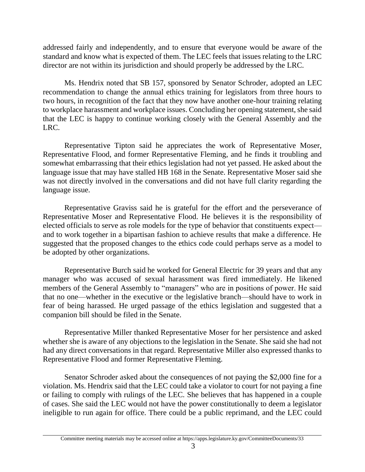addressed fairly and independently, and to ensure that everyone would be aware of the standard and know what is expected of them. The LEC feels that issues relating to the LRC director are not within its jurisdiction and should properly be addressed by the LRC.

Ms. Hendrix noted that SB 157, sponsored by Senator Schroder, adopted an LEC recommendation to change the annual ethics training for legislators from three hours to two hours, in recognition of the fact that they now have another one-hour training relating to workplace harassment and workplace issues. Concluding her opening statement, she said that the LEC is happy to continue working closely with the General Assembly and the LRC.

Representative Tipton said he appreciates the work of Representative Moser, Representative Flood, and former Representative Fleming, and he finds it troubling and somewhat embarrassing that their ethics legislation had not yet passed. He asked about the language issue that may have stalled HB 168 in the Senate. Representative Moser said she was not directly involved in the conversations and did not have full clarity regarding the language issue.

Representative Graviss said he is grateful for the effort and the perseverance of Representative Moser and Representative Flood. He believes it is the responsibility of elected officials to serve as role models for the type of behavior that constituents expect and to work together in a bipartisan fashion to achieve results that make a difference. He suggested that the proposed changes to the ethics code could perhaps serve as a model to be adopted by other organizations.

Representative Burch said he worked for General Electric for 39 years and that any manager who was accused of sexual harassment was fired immediately. He likened members of the General Assembly to "managers" who are in positions of power. He said that no one—whether in the executive or the legislative branch—should have to work in fear of being harassed. He urged passage of the ethics legislation and suggested that a companion bill should be filed in the Senate.

Representative Miller thanked Representative Moser for her persistence and asked whether she is aware of any objections to the legislation in the Senate. She said she had not had any direct conversations in that regard. Representative Miller also expressed thanks to Representative Flood and former Representative Fleming.

Senator Schroder asked about the consequences of not paying the \$2,000 fine for a violation. Ms. Hendrix said that the LEC could take a violator to court for not paying a fine or failing to comply with rulings of the LEC. She believes that has happened in a couple of cases. She said the LEC would not have the power constitutionally to deem a legislator ineligible to run again for office. There could be a public reprimand, and the LEC could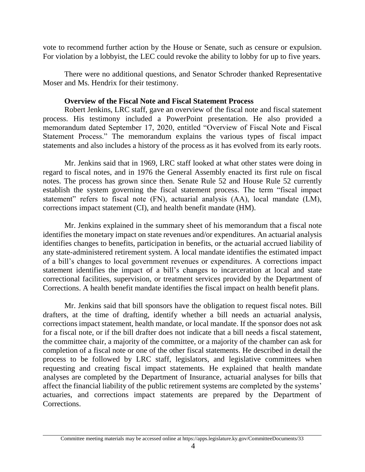vote to recommend further action by the House or Senate, such as censure or expulsion. For violation by a lobbyist, the LEC could revoke the ability to lobby for up to five years.

There were no additional questions, and Senator Schroder thanked Representative Moser and Ms. Hendrix for their testimony.

# **Overview of the Fiscal Note and Fiscal Statement Process**

Robert Jenkins, LRC staff, gave an overview of the fiscal note and fiscal statement process. His testimony included a PowerPoint presentation. He also provided a memorandum dated September 17, 2020, entitled "Overview of Fiscal Note and Fiscal Statement Process." The memorandum explains the various types of fiscal impact statements and also includes a history of the process as it has evolved from its early roots.

Mr. Jenkins said that in 1969, LRC staff looked at what other states were doing in regard to fiscal notes, and in 1976 the General Assembly enacted its first rule on fiscal notes. The process has grown since then. Senate Rule 52 and House Rule 52 currently establish the system governing the fiscal statement process. The term "fiscal impact statement" refers to fiscal note (FN), actuarial analysis (AA), local mandate (LM), corrections impact statement (CI), and health benefit mandate (HM).

Mr. Jenkins explained in the summary sheet of his memorandum that a fiscal note identifies the monetary impact on state revenues and/or expenditures. An actuarial analysis identifies changes to benefits, participation in benefits, or the actuarial accrued liability of any state-administered retirement system. A local mandate identifies the estimated impact of a bill's changes to local government revenues or expenditures. A corrections impact statement identifies the impact of a bill's changes to incarceration at local and state correctional facilities, supervision, or treatment services provided by the Department of Corrections. A health benefit mandate identifies the fiscal impact on health benefit plans.

Mr. Jenkins said that bill sponsors have the obligation to request fiscal notes. Bill drafters, at the time of drafting, identify whether a bill needs an actuarial analysis, corrections impact statement, health mandate, or local mandate. If the sponsor does not ask for a fiscal note, or if the bill drafter does not indicate that a bill needs a fiscal statement, the committee chair, a majority of the committee, or a majority of the chamber can ask for completion of a fiscal note or one of the other fiscal statements. He described in detail the process to be followed by LRC staff, legislators, and legislative committees when requesting and creating fiscal impact statements. He explained that health mandate analyses are completed by the Department of Insurance, actuarial analyses for bills that affect the financial liability of the public retirement systems are completed by the systems' actuaries, and corrections impact statements are prepared by the Department of Corrections.

Committee meeting materials may be accessed online at https://apps.legislature.ky.gov/CommitteeDocuments/33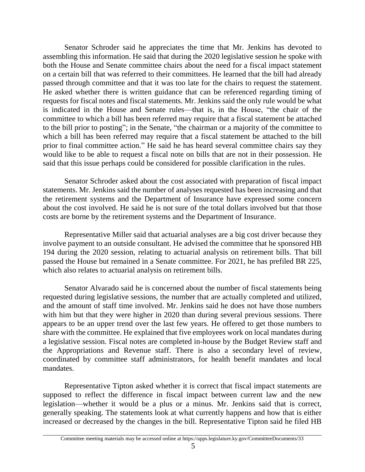Senator Schroder said he appreciates the time that Mr. Jenkins has devoted to assembling this information. He said that during the 2020 legislative session he spoke with both the House and Senate committee chairs about the need for a fiscal impact statement on a certain bill that was referred to their committees. He learned that the bill had already passed through committee and that it was too late for the chairs to request the statement. He asked whether there is written guidance that can be referenced regarding timing of requests for fiscal notes and fiscal statements. Mr. Jenkins said the only rule would be what is indicated in the House and Senate rules—that is, in the House, "the chair of the committee to which a bill has been referred may require that a fiscal statement be attached to the bill prior to posting"; in the Senate, "the chairman or a majority of the committee to which a bill has been referred may require that a fiscal statement be attached to the bill prior to final committee action." He said he has heard several committee chairs say they would like to be able to request a fiscal note on bills that are not in their possession. He said that this issue perhaps could be considered for possible clarification in the rules.

Senator Schroder asked about the cost associated with preparation of fiscal impact statements. Mr. Jenkins said the number of analyses requested has been increasing and that the retirement systems and the Department of Insurance have expressed some concern about the cost involved. He said he is not sure of the total dollars involved but that those costs are borne by the retirement systems and the Department of Insurance.

Representative Miller said that actuarial analyses are a big cost driver because they involve payment to an outside consultant. He advised the committee that he sponsored HB 194 during the 2020 session, relating to actuarial analysis on retirement bills. That bill passed the House but remained in a Senate committee. For 2021, he has prefiled BR 225, which also relates to actuarial analysis on retirement bills.

Senator Alvarado said he is concerned about the number of fiscal statements being requested during legislative sessions, the number that are actually completed and utilized, and the amount of staff time involved. Mr. Jenkins said he does not have those numbers with him but that they were higher in 2020 than during several previous sessions. There appears to be an upper trend over the last few years. He offered to get those numbers to share with the committee. He explained that five employees work on local mandates during a legislative session. Fiscal notes are completed in-house by the Budget Review staff and the Appropriations and Revenue staff. There is also a secondary level of review, coordinated by committee staff administrators, for health benefit mandates and local mandates.

Representative Tipton asked whether it is correct that fiscal impact statements are supposed to reflect the difference in fiscal impact between current law and the new legislation—whether it would be a plus or a minus. Mr. Jenkins said that is correct, generally speaking. The statements look at what currently happens and how that is either increased or decreased by the changes in the bill. Representative Tipton said he filed HB